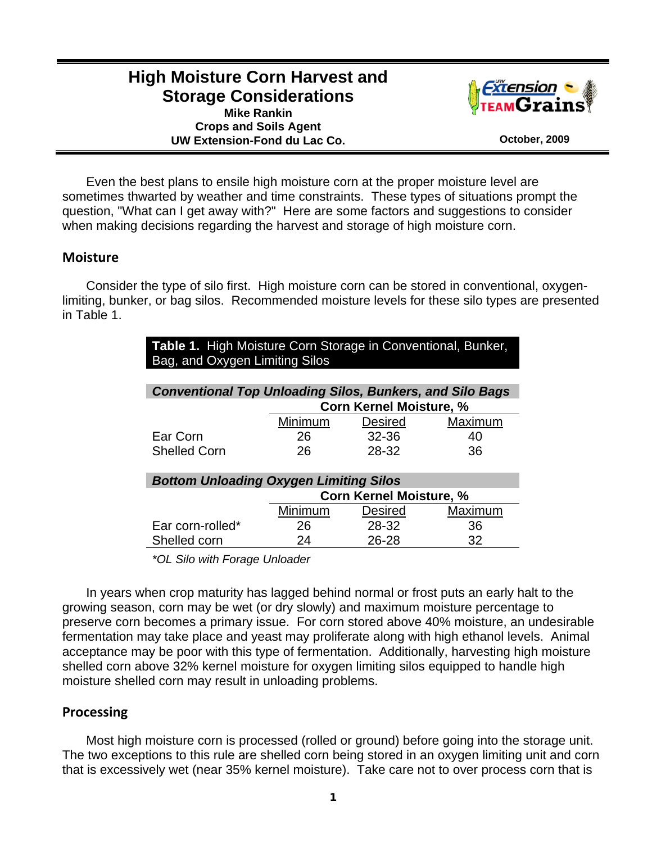# **High Moisture Corn Harvest and Storage Considerations Mike Rankin**

**Crops and Soils Agent** 



UW Extension-Fond du Lac Co.

Even the best plans to ensile high moisture corn at the proper moisture level are sometimes thwarted by weather and time constraints. These types of situations prompt the question, "What can I get away with?" Here are some factors and suggestions to consider when making decisions regarding the harvest and storage of high moisture corn.

## **Moisture**

 Consider the type of silo first. High moisture corn can be stored in conventional, oxygenlimiting, bunker, or bag silos. Recommended moisture levels for these silo types are presented in Table 1.

| Table 1. High Moisture Corn Storage in Conventional, Bunker,<br>Bag, and Oxygen Limiting Silos |                                |           |         |  |  |
|------------------------------------------------------------------------------------------------|--------------------------------|-----------|---------|--|--|
| <b>Conventional Top Unloading Silos, Bunkers, and Silo Bags</b>                                |                                |           |         |  |  |
|                                                                                                | <b>Corn Kernel Moisture, %</b> |           |         |  |  |
|                                                                                                | Minimum                        | Desired   | Maximum |  |  |
| Ear Corn                                                                                       | 26                             | $32 - 36$ | 40      |  |  |
| <b>Shelled Corn</b>                                                                            | 26                             | 28-32     | 36      |  |  |
| <b>Bottom Unloading Oxygen Limiting Silos</b>                                                  |                                |           |         |  |  |
|                                                                                                | <b>Corn Kernel Moisture, %</b> |           |         |  |  |
|                                                                                                | Minimum                        | Desired   | Maximum |  |  |
| Ear corn-rolled*                                                                               | 26                             | 28-32     | 36      |  |  |
| Shelled corn                                                                                   | 24                             | 26-28     | 32      |  |  |

*\*OL Silo with Forage Unloader* 

 In years when crop maturity has lagged behind normal or frost puts an early halt to the growing season, corn may be wet (or dry slowly) and maximum moisture percentage to preserve corn becomes a primary issue. For corn stored above 40% moisture, an undesirable fermentation may take place and yeast may proliferate along with high ethanol levels. Animal acceptance may be poor with this type of fermentation. Additionally, harvesting high moisture shelled corn above 32% kernel moisture for oxygen limiting silos equipped to handle high moisture shelled corn may result in unloading problems.

## **Processing**

 Most high moisture corn is processed (rolled or ground) before going into the storage unit. The two exceptions to this rule are shelled corn being stored in an oxygen limiting unit and corn that is excessively wet (near 35% kernel moisture). Take care not to over process corn that is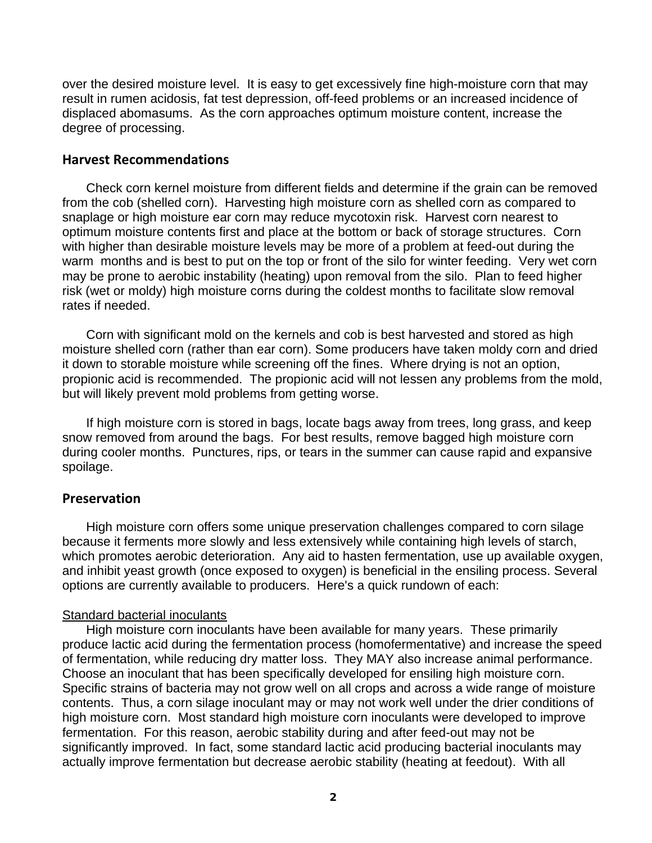over the desired moisture level. It is easy to get excessively fine high-moisture corn that may result in rumen acidosis, fat test depression, off-feed problems or an increased incidence of displaced abomasums. As the corn approaches optimum moisture content, increase the degree of processing.

#### **Harvest Recommendations**

 Check corn kernel moisture from different fields and determine if the grain can be removed from the cob (shelled corn). Harvesting high moisture corn as shelled corn as compared to snaplage or high moisture ear corn may reduce mycotoxin risk. Harvest corn nearest to optimum moisture contents first and place at the bottom or back of storage structures. Corn with higher than desirable moisture levels may be more of a problem at feed-out during the warm months and is best to put on the top or front of the silo for winter feeding. Very wet corn may be prone to aerobic instability (heating) upon removal from the silo. Plan to feed higher risk (wet or moldy) high moisture corns during the coldest months to facilitate slow removal rates if needed.

 Corn with significant mold on the kernels and cob is best harvested and stored as high moisture shelled corn (rather than ear corn). Some producers have taken moldy corn and dried it down to storable moisture while screening off the fines. Where drying is not an option, propionic acid is recommended. The propionic acid will not lessen any problems from the mold, but will likely prevent mold problems from getting worse.

 If high moisture corn is stored in bags, locate bags away from trees, long grass, and keep snow removed from around the bags. For best results, remove bagged high moisture corn during cooler months. Punctures, rips, or tears in the summer can cause rapid and expansive spoilage.

#### **Preservation**

 High moisture corn offers some unique preservation challenges compared to corn silage because it ferments more slowly and less extensively while containing high levels of starch, which promotes aerobic deterioration. Any aid to hasten fermentation, use up available oxygen, and inhibit yeast growth (once exposed to oxygen) is beneficial in the ensiling process. Several options are currently available to producers. Here's a quick rundown of each:

#### Standard bacterial inoculants

 High moisture corn inoculants have been available for many years. These primarily produce lactic acid during the fermentation process (homofermentative) and increase the speed of fermentation, while reducing dry matter loss. They MAY also increase animal performance. Choose an inoculant that has been specifically developed for ensiling high moisture corn. Specific strains of bacteria may not grow well on all crops and across a wide range of moisture contents. Thus, a corn silage inoculant may or may not work well under the drier conditions of high moisture corn. Most standard high moisture corn inoculants were developed to improve fermentation. For this reason, aerobic stability during and after feed-out may not be significantly improved. In fact, some standard lactic acid producing bacterial inoculants may actually improve fermentation but decrease aerobic stability (heating at feedout). With all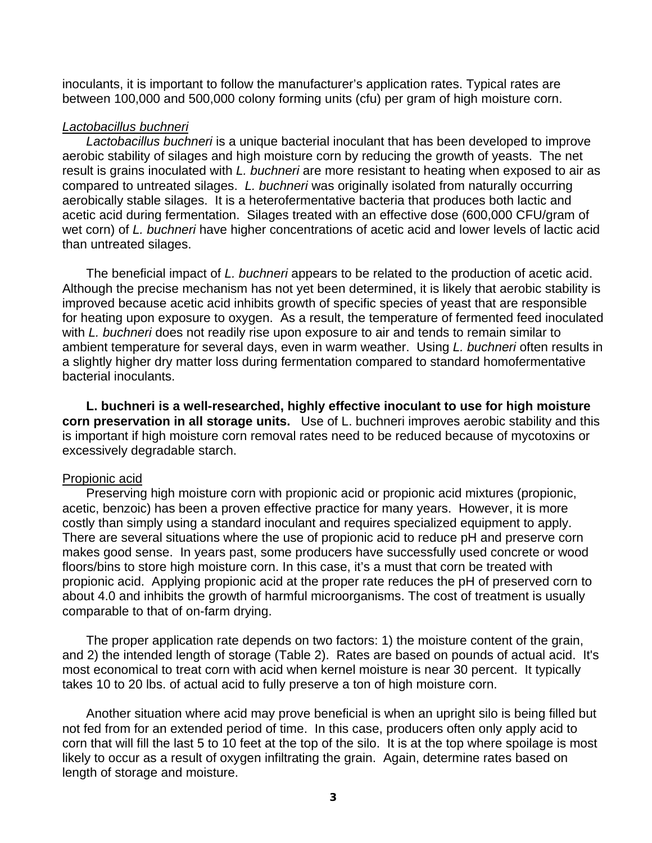inoculants, it is important to follow the manufacturer's application rates. Typical rates are between 100,000 and 500,000 colony forming units (cfu) per gram of high moisture corn.

#### *Lactobacillus buchneri*

 *Lactobacillus buchneri* is a unique bacterial inoculant that has been developed to improve aerobic stability of silages and high moisture corn by reducing the growth of yeasts. The net result is grains inoculated with *L. buchneri* are more resistant to heating when exposed to air as compared to untreated silages. *L. buchneri* was originally isolated from naturally occurring aerobically stable silages. It is a heterofermentative bacteria that produces both lactic and acetic acid during fermentation. Silages treated with an effective dose (600,000 CFU/gram of wet corn) of *L. buchneri* have higher concentrations of acetic acid and lower levels of lactic acid than untreated silages.

 The beneficial impact of *L. buchneri* appears to be related to the production of acetic acid. Although the precise mechanism has not yet been determined, it is likely that aerobic stability is improved because acetic acid inhibits growth of specific species of yeast that are responsible for heating upon exposure to oxygen. As a result, the temperature of fermented feed inoculated with *L. buchneri* does not readily rise upon exposure to air and tends to remain similar to ambient temperature for several days, even in warm weather. Using *L. buchneri* often results in a slightly higher dry matter loss during fermentation compared to standard homofermentative bacterial inoculants.

**L. buchneri is a well-researched, highly effective inoculant to use for high moisture corn preservation in all storage units.** Use of L. buchneri improves aerobic stability and this is important if high moisture corn removal rates need to be reduced because of mycotoxins or excessively degradable starch.

#### Propionic acid

 Preserving high moisture corn with propionic acid or propionic acid mixtures (propionic, acetic, benzoic) has been a proven effective practice for many years. However, it is more costly than simply using a standard inoculant and requires specialized equipment to apply. There are several situations where the use of propionic acid to reduce pH and preserve corn makes good sense. In years past, some producers have successfully used concrete or wood floors/bins to store high moisture corn. In this case, it's a must that corn be treated with propionic acid. Applying propionic acid at the proper rate reduces the pH of preserved corn to about 4.0 and inhibits the growth of harmful microorganisms. The cost of treatment is usually comparable to that of on-farm drying.

 The proper application rate depends on two factors: 1) the moisture content of the grain, and 2) the intended length of storage (Table 2). Rates are based on pounds of actual acid. It's most economical to treat corn with acid when kernel moisture is near 30 percent. It typically takes 10 to 20 lbs. of actual acid to fully preserve a ton of high moisture corn.

 Another situation where acid may prove beneficial is when an upright silo is being filled but not fed from for an extended period of time. In this case, producers often only apply acid to corn that will fill the last 5 to 10 feet at the top of the silo. It is at the top where spoilage is most likely to occur as a result of oxygen infiltrating the grain. Again, determine rates based on length of storage and moisture.